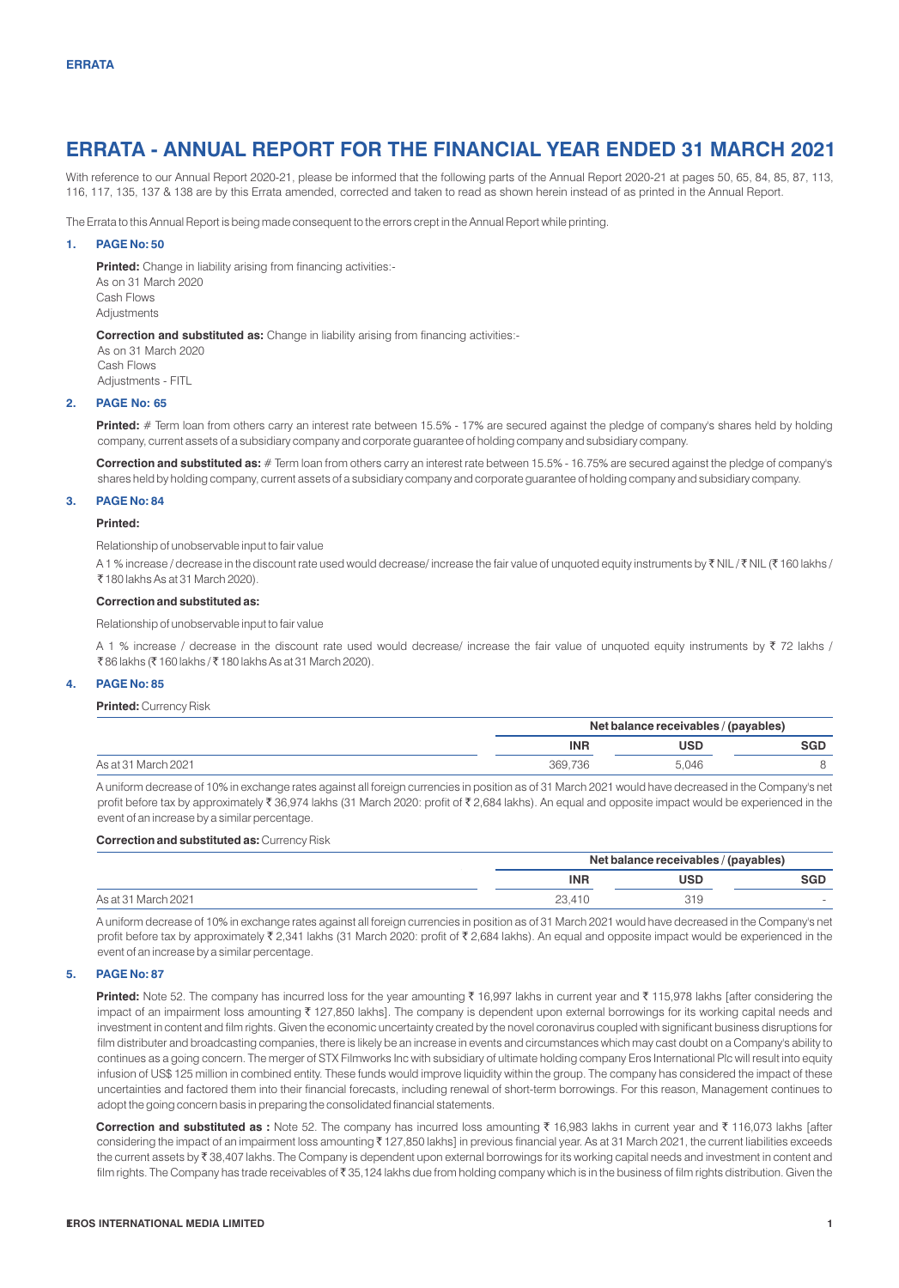# **ERRATA - ANNUAL REPORT FOR THE FINANCIAL YEAR ENDED 31 MARCH 2021**

With reference to our Annual Report 2020-21, please be informed that the following parts of the Annual Report 2020-21 at pages 50, 65, 84, 85, 87, 113, 116, 117, 135, 137 & 138 are by this Errata amended, corrected and taken to read as shown herein instead of as printed in the Annual Report.

The Errata to this Annual Report is being made consequent to the errors crept in the Annual Report while printing.

## **1. PAGE No: 50**

**Printed:** Change in liability arising from financing activities:- As on 31 March 2020 Cash Flows **Adjustments** 

**Correction and substituted as:** Change in liability arising from financing activities:-

As on 31 March 2020 Cash Flows Adjustments - FITL

## **2. PAGE No: 65**

**Printed:** # Term loan from others carry an interest rate between 15.5% - 17% are secured against the pledge of company's shares held by holding company, current assets of a subsidiary company and corporate guarantee of holding company and subsidiary company.

**Correction and substituted as:** # Term loan from others carry an interest rate between 15.5% - 16.75% are secured against the pledge of company's shares held by holding company, current assets of a subsidiary company and corporate guarantee of holding company and subsidiary company.

# **3. PAGE No: 84**

#### **Printed:**

Relationship of unobservable input to fair value

A 1 % increase / decrease in the discount rate used would decrease/ increase the fair value of unquoted equity instruments by ₹ NIL / ₹ NIL (₹ 160 lakhs / ` 180 lakhs As at 31 March 2020).

## **Correction and substituted as:**

Relationship of unobservable input to fair value

A 1 % increase / decrease in the discount rate used would decrease/ increase the fair value of unquoted equity instruments by  $\bar{\tau}$  72 lakhs / ₹86 lakhs (₹ 160 lakhs / ₹ 180 lakhs As at 31 March 2020).

## **4. PAGE No: 85**

# **Printed:** Currency Risk

|                     | Net balance receivables / (payables) |            |            |
|---------------------|--------------------------------------|------------|------------|
|                     | <b>INR</b>                           | <b>USD</b> | <b>SGD</b> |
| As at 31 March 2021 | 369.736                              | 5.046      |            |

A uniform decrease of 10% in exchange rates against all foreign currencies in position as of 31 March 2021 would have decreased in the Company's net profit before tax by approximately ₹ 36,974 lakhs (31 March 2020: profit of ₹ 2,684 lakhs). An equal and opposite impact would be experienced in the event of an increase by a similar percentage.

#### **Correction and substituted as:**Currency Risk

|                     | Net balance receivables / (payables) |            |     |
|---------------------|--------------------------------------|------------|-----|
|                     | <b>INR</b>                           | <b>USD</b> | SGD |
| As at 31 March 2021 | 23.410                               | 319        |     |

A uniform decrease of 10% in exchange rates against all foreign currencies in position as of 31 March 2021 would have decreased in the Company's net profit before tax by approximately ₹ 2,341 lakhs (31 March 2020: profit of ₹ 2,684 lakhs). An equal and opposite impact would be experienced in the event of an increase by a similar percentage.

## **5. PAGE No: 87**

**Printed:** Note 52. The company has incurred loss for the year amounting ₹ 16,997 lakhs in current year and ₹ 115,978 lakhs [after considering the impact of an impairment loss amounting ₹127,850 lakhs]. The company is dependent upon external borrowings for its working capital needs and investment in content and film rights. Given the economic uncertainty created by the novel coronavirus coupled with significant business disruptions for film distributer and broadcasting companies, there is likely be an increase in events and circumstances which may cast doubt on a Company's ability to continues as a going concern. The merger of STX Filmworks Inc with subsidiary of ultimate holding company Eros International Plc will result into equity infusion of US\$ 125 million in combined entity. These funds would improve liquidity within the group. The company has considered the impact of these uncertainties and factored them into their financial forecasts, including renewal of short-term borrowings. For this reason, Management continues to adopt the going concern basis in preparing the consolidated financial statements.

Correction and substituted as : Note 52. The company has incurred loss amounting ₹ 16,983 lakhs in current year and ₹ 116,073 lakhs [after considering the impact of an impairment loss amounting ₹127,850 lakhs] in previous financial year. As at 31 March 2021, the current liabilities exceeds the current assets by ₹38,407 lakhs. The Company is dependent upon external borrowings for its working capital needs and investment in content and film rights. The Company has trade receivables of ₹35,124 lakhs due from holding company which is in the business of film rights distribution. Given the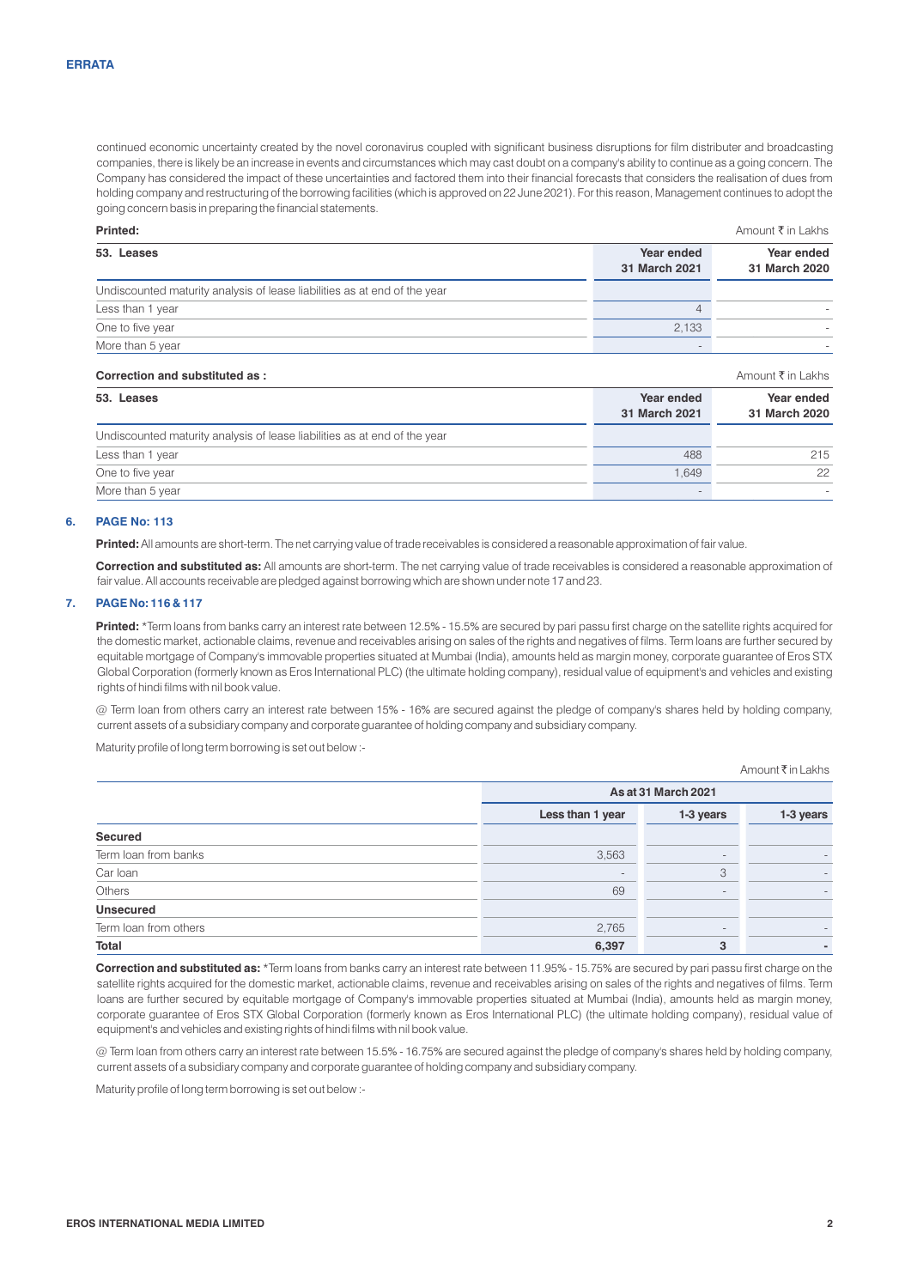continued economic uncertainty created by the novel coronavirus coupled with significant business disruptions for film distributer and broadcasting companies, there is likely be an increase in events and circumstances which may cast doubt on a company's ability to continue as a going concern. The Company has considered the impact of these uncertainties and factored them into their financial forecasts that considers the realisation of dues from holding company and restructuring of the borrowing facilities (which is approved on 22 June 2021). For this reason, Management continues to adopt the going concern basis in preparing the financial statements.

| Printed:                                                                  |                             | Amount ₹ in Lakhs           |  |
|---------------------------------------------------------------------------|-----------------------------|-----------------------------|--|
| 53. Leases                                                                | Year ended<br>31 March 2021 | Year ended<br>31 March 2020 |  |
| Undiscounted maturity analysis of lease liabilities as at end of the year |                             |                             |  |
| Less than 1 year                                                          |                             |                             |  |
| One to five year                                                          | 2.133                       |                             |  |
| More than 5 year                                                          |                             |                             |  |

# **Correction and substituted as :** Amount  $\bar{x}$  in Lakhs

| 53. Leases                                                                | Year ended<br>31 March 2021 | Year ended<br>31 March 2020 |
|---------------------------------------------------------------------------|-----------------------------|-----------------------------|
| Undiscounted maturity analysis of lease liabilities as at end of the year |                             |                             |
| Less than 1 year                                                          | 488                         | 215                         |
| One to five year                                                          | 1.649                       | 22                          |
| More than 5 year                                                          |                             |                             |

# **6. PAGE No: 113**

**Printed:** All amounts are short-term. The net carrying value of trade receivables is considered a reasonable approximation of fair value.

**Correction and substituted as:** All amounts are short-term. The net carrying value of trade receivables is considered a reasonable approximation of fair value. All accounts receivable are pledged against borrowing which are shown under note 17 and 23.

#### **7. PAGE No: 116 & 117**

**Printed:** \*Term loans from banks carry an interest rate between 12.5% - 15.5% are secured by pari passu first charge on the satellite rights acquired for the domestic market, actionable claims, revenue and receivables arising on sales of the rights and negatives of films. Term loans are further secured by equitable mortgage of Company's immovable properties situated at Mumbai (India), amounts held as margin money, corporate guarantee of Eros STX Global Corporation (formerly known as Eros International PLC) (the ultimate holding company), residual value of equipment's and vehicles and existing rights of hindi films with nil book value.

@ Term loan from others carry an interest rate between 15% - 16% are secured against the pledge of company's shares held by holding company, current assets of a subsidiary company and corporate guarantee of holding company and subsidiary company.

Maturity profile of long term borrowing is set out below :-

Amount ₹ in Lakhs

|                       | As at 31 March 2021                        |        |    |
|-----------------------|--------------------------------------------|--------|----|
|                       | Less than 1 year<br>1-3 years<br>1-3 years |        |    |
| Secured               |                                            |        |    |
| Term loan from banks  | 3,563                                      |        |    |
| Car Ioan              | ۰                                          | 3      |    |
| Others                | 69                                         | $\sim$ | ۰. |
| <b>Unsecured</b>      |                                            |        |    |
| Term loan from others | 2,765                                      |        |    |
| <b>Total</b>          | 6,397                                      | 3      |    |

Correction and substituted as: \*Term loans from banks carry an interest rate between 11.95% - 15.75% are secured by pari passu first charge on the satellite rights acquired for the domestic market, actionable claims, revenue and receivables arising on sales of the rights and negatives of films. Term loans are further secured by equitable mortgage of Company's immovable properties situated at Mumbai (India), amounts held as margin money, corporate guarantee of Eros STX Global Corporation (formerly known as Eros International PLC) (the ultimate holding company), residual value of equipment's and vehicles and existing rights of hindi films with nil book value.

@ Term loan from others carry an interest rate between 15.5% - 16.75% are secured against the pledge of company's shares held by holding company, current assets of a subsidiary company and corporate guarantee of holding company and subsidiary company.

Maturity profile of long term borrowing is set out below :-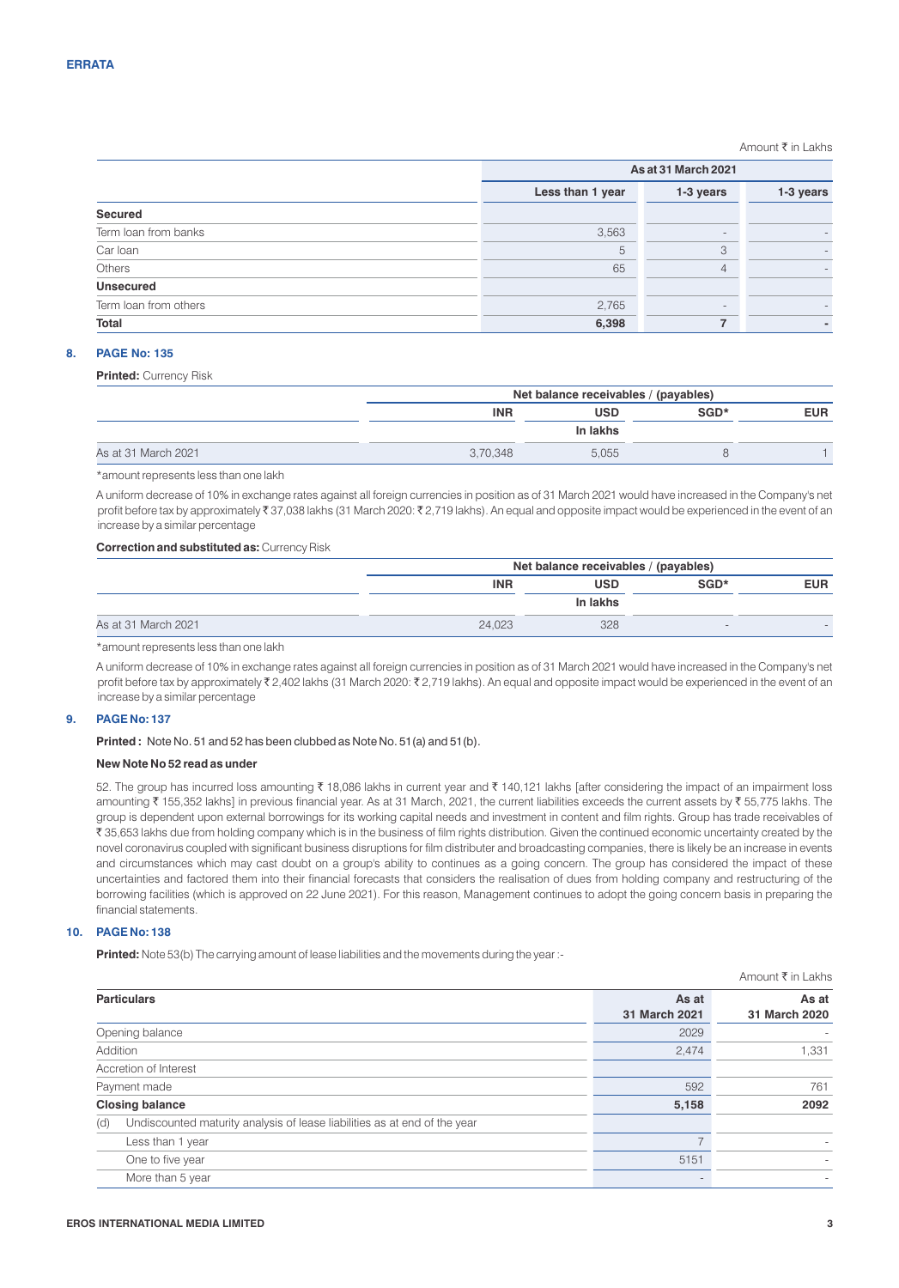# Amount ₹ in Lakhs

|                       |                  | As at 31 March 2021    |  |  |
|-----------------------|------------------|------------------------|--|--|
|                       | Less than 1 year | 1-3 years<br>1-3 years |  |  |
| Secured               |                  |                        |  |  |
| Term loan from banks  | 3,563            | $\sim$                 |  |  |
| Car Ioan              | 5                | 3                      |  |  |
| Others                | 65               | 4                      |  |  |
| <b>Unsecured</b>      |                  |                        |  |  |
| Term loan from others | 2,765            |                        |  |  |
| <b>Total</b>          | 6,398            | ╺                      |  |  |

# **8. PAGE No: 135**

## **Printed:** Currency Risk

|                     | Net balance receivables / (payables) |            |  |  |
|---------------------|--------------------------------------|------------|--|--|
|                     | <b>INR</b>                           | <b>EUR</b> |  |  |
|                     |                                      | In lakhs   |  |  |
| As at 31 March 2021 | 3.70.348                             | 5.055      |  |  |

\*amount represents less than one lakh

A uniform decrease of 10% in exchange rates against all foreign currencies in position as of 31 March 2021 would have increased in the Company's net profit before tax by approximately ₹37,038 lakhs (31 March 2020: ₹2,719 lakhs). An equal and opposite impact would be experienced in the event of an increase by a similar percentage

## **Correction and substituted as:** Currency Risk

|                     |            | Net balance receivables / (payables) |      |            |
|---------------------|------------|--------------------------------------|------|------------|
|                     | <b>INR</b> | <b>USD</b>                           | SGD* | <b>EUR</b> |
|                     |            | In lakhs                             |      |            |
| As at 31 March 2021 | 24.023     | 328                                  | ÷    |            |

\*amount represents less than one lakh

A uniform decrease of 10% in exchange rates against all foreign currencies in position as of 31 March 2021 would have increased in the Company's net profit before tax by approximately ₹2,402 lakhs (31 March 2020: ₹2,719 lakhs). An equal and opposite impact would be experienced in the event of an increase by a similar percentage

# **9. PAGE No: 137**

**Printed :** Note No. 51 and 52 has been clubbed as Note No. 51(a) and 51(b).

# **New Note No 52 read as under**

52. The group has incurred loss amounting ₹ 18,086 lakhs in current year and ₹ 140,121 lakhs [after considering the impact of an impairment loss amounting ₹ 155,352 lakhs] in previous financial year. As at 31 March, 2021, the current liabilities exceeds the current assets by ₹ 55,775 lakhs. The group is dependent upon external borrowings for its working capital needs and investment in content and film rights. Group has trade receivables of ₹35,653 lakhs due from holding company which is in the business of film rights distribution. Given the continued economic uncertainty created by the novel coronavirus coupled with significant business disruptions for film distributer and broadcasting companies, there is likely be an increase in events and circumstances which may cast doubt on a group's ability to continues as a going concern. The group has considered the impact of these uncertainties and factored them into their financial forecasts that considers the realisation of dues from holding company and restructuring of the borrowing facilities (which is approved on 22 June 2021). For this reason, Management continues to adopt the going concern basis in preparing the financial statements.

## **10. PAGE No: 138**

**Printed:** Note 53(b) The carrying amount of lease liabilities and the movements during the year :-

|                                                                                  |                        | Amount ₹ in Lakhs      |
|----------------------------------------------------------------------------------|------------------------|------------------------|
| <b>Particulars</b>                                                               | As at<br>31 March 2021 | As at<br>31 March 2020 |
| Opening balance                                                                  | 2029                   |                        |
| Addition                                                                         | 2,474                  | 1,331                  |
| Accretion of Interest                                                            |                        |                        |
| Payment made                                                                     | 592                    | 761                    |
| <b>Closing balance</b>                                                           | 5,158                  | 2092                   |
| Undiscounted maturity analysis of lease liabilities as at end of the year<br>(d) |                        |                        |
| Less than 1 year                                                                 |                        |                        |
| One to five year                                                                 | 5151                   |                        |
| More than 5 year                                                                 |                        |                        |